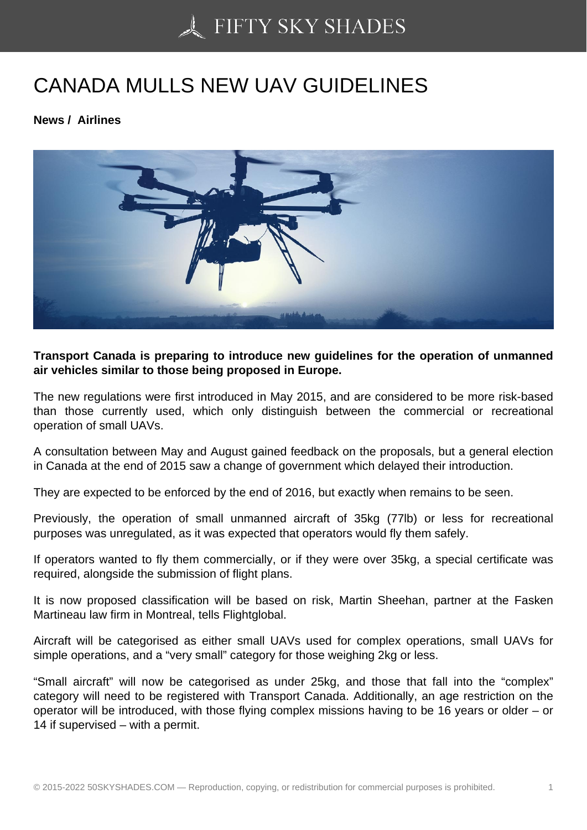## [CANADA MULLS NEW](https://50skyshades.com) UAV GUIDELINES

News / Airlines

Transport Canada is preparing to introduce new guidelines for the operation of unmanned air vehicles similar to those being proposed in Europe.

The new regulations were first introduced in May 2015, and are considered to be more risk-based than those currently used, which only distinguish between the commercial or recreational operation of small UAVs.

A consultation between May and August gained feedback on the proposals, but a general election in Canada at the end of 2015 saw a change of government which delayed their introduction.

They are expected to be enforced by the end of 2016, but exactly when remains to be seen.

Previously, the operation of small unmanned aircraft of 35kg (77lb) or less for recreational purposes was unregulated, as it was expected that operators would fly them safely.

If operators wanted to fly them commercially, or if they were over 35kg, a special certificate was required, alongside the submission of flight plans.

It is now proposed classification will be based on risk, Martin Sheehan, partner at the Fasken Martineau law firm in Montreal, tells Flightglobal.

Aircraft will be categorised as either small UAVs used for complex operations, small UAVs for simple operations, and a "very small" category for those weighing 2kg or less.

"Small aircraft" will now be categorised as under 25kg, and those that fall into the "complex" category will need to be registered with Transport Canada. Additionally, an age restriction on the operator will be introduced, with those flying complex missions having to be 16 years or older – or 14 if supervised – with a permit.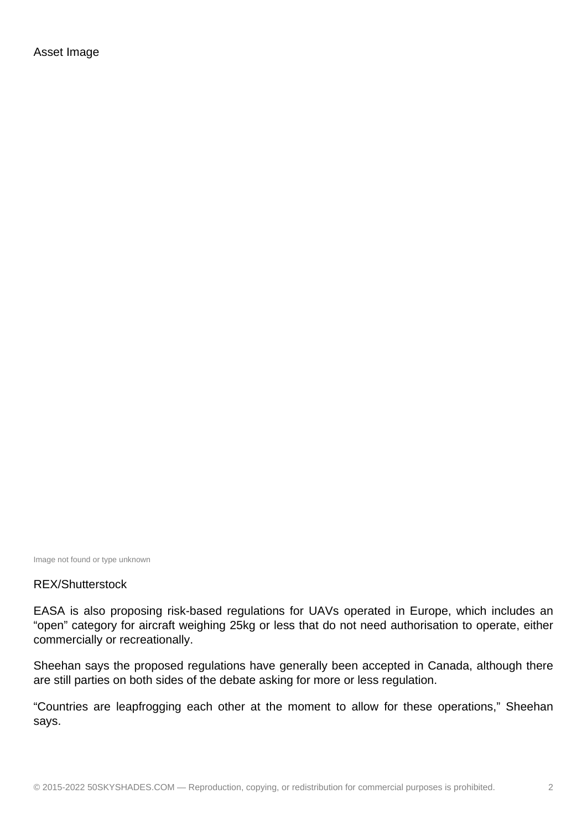Asset Image

Image not found or type unknown

## REX/Shutterstock

EASA is also proposing risk-based regulations for UAVs operated in Europe, which includes an "open" category for aircraft weighing 25kg or less that do not need authorisation to operate, either commercially or recreationally.

Sheehan says the proposed regulations have generally been accepted in Canada, although there are still parties on both sides of the debate asking for more or less regulation.

"Countries are leapfrogging each other at the moment to allow for these operations," Sheehan says.